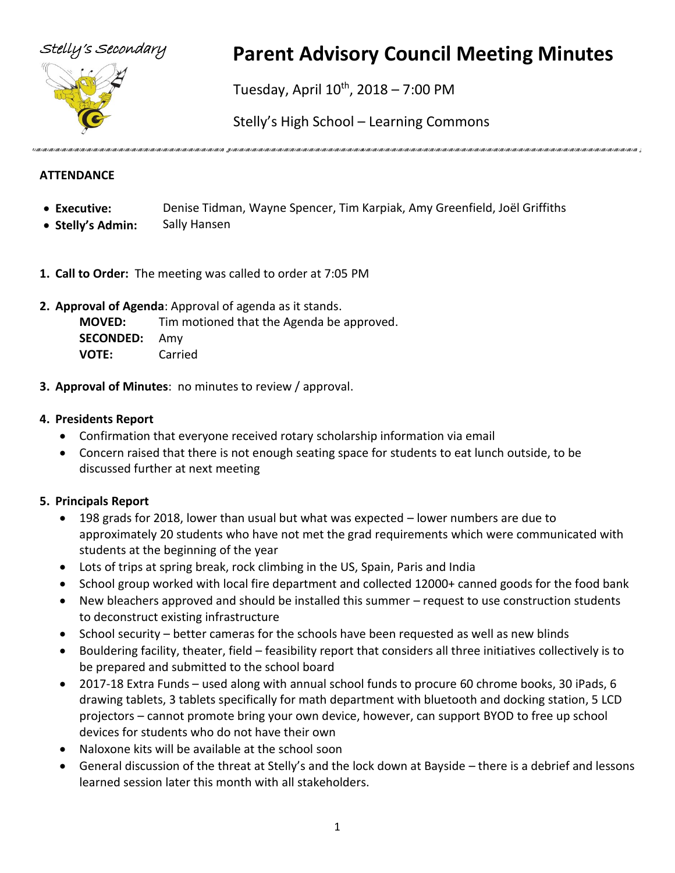



# Stelly's Secondary **Parent Advisory Council Meeting Minutes**

Tuesday, April 10<sup>th</sup>, 2018 – 7:00 PM

Stelly's High School – Learning Commons

# **ATTENDANCE**

- **Executive:** Denise Tidman, Wayne Spencer, Tim Karpiak, Amy Greenfield, Joël Griffiths
- **Stelly's Admin:** Sally Hansen
- **1. Call to Order:** The meeting was called to order at 7:05 PM
- **2. Approval of Agenda**: Approval of agenda as it stands.

**MOVED:** Tim motioned that the Agenda be approved. **SECONDED:** Amy **VOTE:** Carried

**3. Approval of Minutes**: no minutes to review / approval.

# **4. Presidents Report**

- Confirmation that everyone received rotary scholarship information via email
- Concern raised that there is not enough seating space for students to eat lunch outside, to be discussed further at next meeting

# **5. Principals Report**

- 198 grads for 2018, lower than usual but what was expected lower numbers are due to approximately 20 students who have not met the grad requirements which were communicated with students at the beginning of the year
- Lots of trips at spring break, rock climbing in the US, Spain, Paris and India
- School group worked with local fire department and collected 12000+ canned goods for the food bank
- New bleachers approved and should be installed this summer request to use construction students to deconstruct existing infrastructure
- School security better cameras for the schools have been requested as well as new blinds
- Bouldering facility, theater, field feasibility report that considers all three initiatives collectively is to be prepared and submitted to the school board
- 2017-18 Extra Funds used along with annual school funds to procure 60 chrome books, 30 iPads, 6 drawing tablets, 3 tablets specifically for math department with bluetooth and docking station, 5 LCD projectors – cannot promote bring your own device, however, can support BYOD to free up school devices for students who do not have their own
- Naloxone kits will be available at the school soon
- General discussion of the threat at Stelly's and the lock down at Bayside there is a debrief and lessons learned session later this month with all stakeholders.